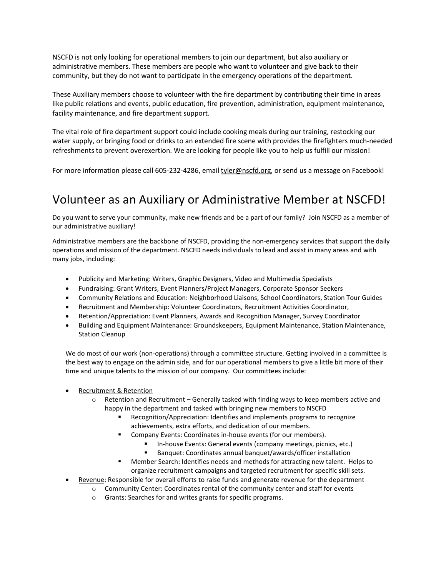NSCFD is not only looking for operational members to join our department, but also auxiliary or administrative members. These members are people who want to volunteer and give back to their community, but they do not want to participate in the emergency operations of the department.

These Auxiliary members choose to volunteer with the fire department by contributing their time in areas like public relations and events, public education, fire prevention, administration, equipment maintenance, facility maintenance, and fire department support.

The vital role of fire department support could include cooking meals during our training, restocking our water supply, or bringing food or drinks to an extended fire scene with provides the firefighters much-needed refreshments to prevent overexertion. We are looking for people like you to help us fulfill our mission!

For more information please call 605-232-4286, email tyler@nscfd.org, or send us a message on Facebook!

## Volunteer as an Auxiliary or Administrative Member at NSCFD!

Do you want to serve your community, make new friends and be a part of our family? Join NSCFD as a member of our administrative auxiliary!

Administrative members are the backbone of NSCFD, providing the non-emergency services that support the daily operations and mission of the department. NSCFD needs individuals to lead and assist in many areas and with many jobs, including:

- Publicity and Marketing: Writers, Graphic Designers, Video and Multimedia Specialists
- Fundraising: Grant Writers, Event Planners/Project Managers, Corporate Sponsor Seekers
- Community Relations and Education: Neighborhood Liaisons, School Coordinators, Station Tour Guides
- Recruitment and Membership: Volunteer Coordinators, Recruitment Activities Coordinator,
- Retention/Appreciation: Event Planners, Awards and Recognition Manager, Survey Coordinator
- Building and Equipment Maintenance: Groundskeepers, Equipment Maintenance, Station Maintenance, Station Cleanup

We do most of our work (non-operations) through a committee structure. Getting involved in a committee is the best way to engage on the admin side, and for our operational members to give a little bit more of their time and unique talents to the mission of our company. Our committees include:

- Recruitment & Retention
	- o Retention and Recruitment Generally tasked with finding ways to keep members active and happy in the department and tasked with bringing new members to NSCFD
		- Recognition/Appreciation: Identifies and implements programs to recognize achievements, extra efforts, and dedication of our members.
		- Company Events: Coordinates in-house events (for our members).
			- In-house Events: General events (company meetings, picnics, etc.)
			- Banquet: Coordinates annual banquet/awards/officer installation
		- Member Search: Identifies needs and methods for attracting new talent. Helps to organize recruitment campaigns and targeted recruitment for specific skill sets.
- Revenue: Responsible for overall efforts to raise funds and generate revenue for the department
	- $\circ$  Community Center: Coordinates rental of the community center and staff for events
		- o Grants: Searches for and writes grants for specific programs.